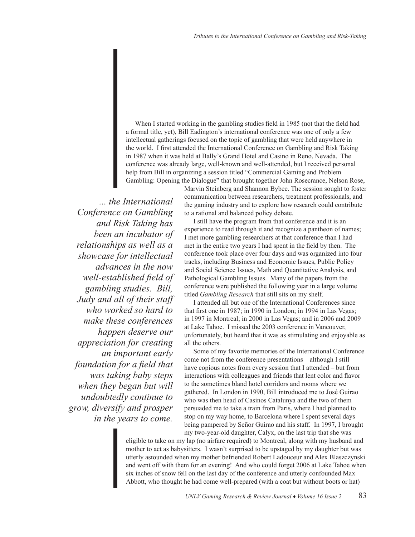When I started working in the gambling studies field in 1985 (not that the field had a formal title, yet), Bill Eadington's international conference was one of only a few intellectual gatherings focused on the topic of gambling that were held anywhere in the world. I first attended the International Conference on Gambling and Risk Taking in 1987 when it was held at Bally's Grand Hotel and Casino in Reno, Nevada. The conference was already large, well-known and well-attended, but I received personal help from Bill in organizing a session titled "Commercial Gaming and Problem Gambling: Opening the Dialogue" that brought together John Rosecrance, Nelson Rose,

*... the International Conference on Gambling and Risk Taking has been an incubator of relationships as well as a showcase for intellectual advances in the now well-established field of gambling studies. Bill, Judy and all of their staff who worked so hard to make these conferences happen deserve our appreciation for creating an important early foundation for a field that was taking baby steps when they began but will undoubtedly continue to grow, diversify and prosper in the years to come.* 

Marvin Steinberg and Shannon Bybee. The session sought to foster communication between researchers, treatment professionals, and the gaming industry and to explore how research could contribute to a rational and balanced policy debate.

I still have the program from that conference and it is an experience to read through it and recognize a pantheon of names; I met more gambling researchers at that conference than I had met in the entire two years I had spent in the field by then. The conference took place over four days and was organized into four tracks, including Business and Economic Issues, Public Policy and Social Science Issues, Math and Quantitative Analysis, and Pathological Gambling Issues. Many of the papers from the conference were published the following year in a large volume titled *Gambling Research* that still sits on my shelf.

I attended all but one of the International Conferences since that first one in 1987; in 1990 in London; in 1994 in Las Vegas; in 1997 in Montreal; in 2000 in Las Vegas; and in 2006 and 2009 at Lake Tahoe. I missed the 2003 conference in Vancouver, unfortunately, but heard that it was as stimulating and enjoyable as all the others.

Some of my favorite memories of the International Conference come not from the conference presentations – although I still have copious notes from every session that I attended – but from interactions with colleagues and friends that lent color and flavor to the sometimes bland hotel corridors and rooms where we gathered. In London in 1990, Bill introduced me to José Guirao who was then head of Casinos Catalunya and the two of them persuaded me to take a train from Paris, where I had planned to stop on my way home, to Barcelona where I spent several days being pampered by Señor Guirao and his staff. In 1997, I brought my two-year-old daughter, Calyx, on the last trip that she was

eligible to take on my lap (no airfare required) to Montreal, along with my husband and mother to act as babysitters. I wasn't surprised to be upstaged by my daughter but was utterly astounded when my mother befriended Robert Ladouceur and Alex Blaszczynski and went off with them for an evening! And who could forget 2006 at Lake Tahoe when six inches of snow fell on the last day of the conference and utterly confounded Max Abbott, who thought he had come well-prepared (with a coat but without boots or hat)